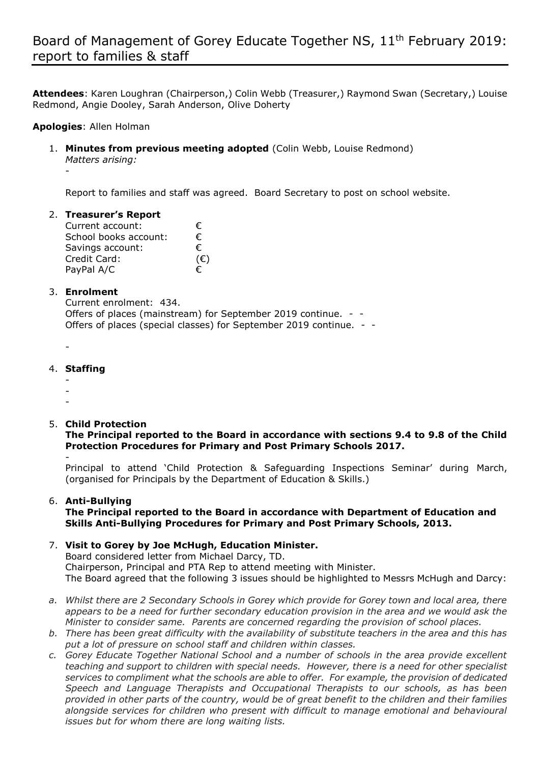**Attendees**: Karen Loughran (Chairperson,) Colin Webb (Treasurer,) Raymond Swan (Secretary,) Louise Redmond, Angie Dooley, Sarah Anderson, Olive Doherty

**Apologies**: Allen Holman

1. **Minutes from previous meeting adopted** (Colin Webb, Louise Redmond) *Matters arising:*

-

Report to families and staff was agreed. Board Secretary to post on school website.

# 2. **Treasurer's Report**

| Current account:      | €            |
|-----------------------|--------------|
| School books account: | €            |
| Savings account:      | €            |
| Credit Card:          | $(\epsilon)$ |
| PayPal A/C            | €            |

# 3. **Enrolment**

Current enrolment: 434. Offers of places (mainstream) for September 2019 continue. - - Offers of places (special classes) for September 2019 continue. - -

-

### 4. **Staffing**

- -

-

#### 5. **Child Protection**

### **The Principal reported to the Board in accordance with sections 9.4 to 9.8 of the Child Protection Procedures for Primary and Post Primary Schools 2017.**

-

Principal to attend 'Child Protection & Safeguarding Inspections Seminar' during March, (organised for Principals by the Department of Education & Skills.)

# 6. **Anti-Bullying**

# **The Principal reported to the Board in accordance with Department of Education and Skills Anti-Bullying Procedures for Primary and Post Primary Schools, 2013.**

# 7. **Visit to Gorey by Joe McHugh, Education Minister.**

Board considered letter from Michael Darcy, TD. Chairperson, Principal and PTA Rep to attend meeting with Minister. The Board agreed that the following 3 issues should be highlighted to Messrs McHugh and Darcy:

- *a. Whilst there are 2 Secondary Schools in Gorey which provide for Gorey town and local area, there appears to be a need for further secondary education provision in the area and we would ask the Minister to consider same. Parents are concerned regarding the provision of school places.*
- *b. There has been great difficulty with the availability of substitute teachers in the area and this has put a lot of pressure on school staff and children within classes.*
- *c. Gorey Educate Together National School and a number of schools in the area provide excellent teaching and support to children with special needs. However, there is a need for other specialist services to compliment what the schools are able to offer. For example, the provision of dedicated Speech and Language Therapists and Occupational Therapists to our schools, as has been provided in other parts of the country, would be of great benefit to the children and their families alongside services for children who present with difficult to manage emotional and behavioural issues but for whom there are long waiting lists.*